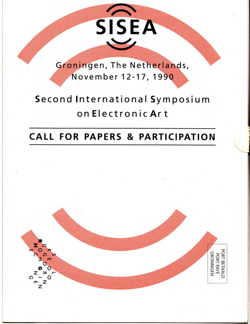Groningen, The Netherlands, November 12-17, 1990

SISEA

# Second International Symposium on Electronic Art

# **CALL FOR PAPERS & PARTICIPATION**

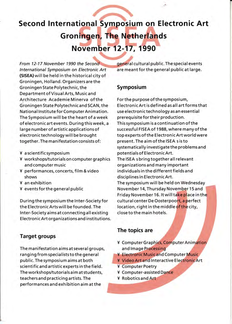# Second International Symposium on Electronic Art **Groningen, The Netherlands**

# November 12-17, 1990

From 12-17 November 1990 the Second International Symposium on Electronic Art (SISEA)will be held in the historical city of <sup>G</sup>roningen, Holland. Organizers are the Groningen State Polytechnic, the Symposium Department of VisualArts, Music and Architecture Academie Minerva of the Forthepurpose of the symposium, National Institute for Computer Animation. The Symposium will be the heart of a week prerequisite for their production. of electron ic art events. During th is week, a This sym posium is a continuation of the together. The manifestation consists of:

- ¥ a scientific symposium
- Y workshops/tutorials on computer graphics and computer music
- ¥ performances, concerts, film & video shows
- Y an exhibition
- Y eventsforthe general public

During the symposium the Inter-Society for the Electronic Arts will be founded. The Inter-Society aims at connecting all existing Electronic Art organizations and institutions.

## Target groups

The manifestation aims at several groups, ranging from specialists to the general public. The symposium aims at both scientific and artistic experts in the field. The workshops/tutorials aim at students, teachers and practicing artists. The performances and exhibition aim at the

general cultural public. The special events are meant for the general public at large.

Groningen State Polytechnic and SCAN, the Electronic Art is defined as all art forms that<br>National Institute for Computer Animation. use electronic technology as an essential large number of artistic applications of successful FISEA of 1988, where many of the electronic technology will be brought top experts of the Electronic Art world were<br>together. The manifestation consists of: spresent. The aim of the ISEA s is to systematically investigate the problems and potentials of Electronic Art. The ISEA s bring together all relevant organizations and many important individuals in the different fields and disciplines in Electronic Art. The symposium will be held on Wednesday November 14, Thursday November 15 and Friday November 16. It will take place in the cultural center De Oosterpoort, a perfect location, right in the middle <mark>of the</mark> city, close to the main hotels.

### The topics are

- ¥ Computer Graphics, Computer Animation and Image Processing
- ¥ Electronic Music and Computer Music
- ¥ Video Art and Interactive Electronic Art
- Computer Poetry Y
- Com puter-assisted <sup>Q</sup> Y
- ¥ Robotics and Art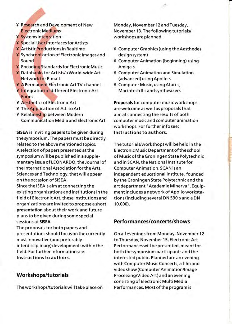- ¥ Research and Development of New **Electronic Mediums**
- ¥ Systems Integration
- ¥ Special User Interfaces for Artists
- ¥ Artistic Productions in Realtime
- ¥ Synchronization of Electronic Images and Sound
- ¥ Encoding Standards for Electronic Music
- ¥ Databanks for Artists/a World-wide Art Network for E-mail
- ¥ A Permanent Electronic Art TV-channel
- ¥ Integration of different Electronic Art Forms
- ¥ Aesthetics of Electronic Art
- ¥ The Application of A.I. to Art
- ¥ Relationship between Modern Communication Media and Electronic Art

SISEA is inviting papers to be given during the symposium. The papers must be directly related to the above mentioned topics. A selection of papers presented at the symposium will be published in a supplementary issue of LEONARDO, the Journal of the International Association for the Arts, Sciences and Technology, that will appear on the occasion of SISEA.

Since the ISEA saim at connecting the existing organizations and institutions in the field of Electronic Art, these institutions and organizations are invited to propose a short presentation about their work and future plans to be given during some special sessions at SISEA.

The proposals for both papers and presentations should focus on the currently most innovative (and preferably interdisciplinary) developments within the field. For further information see: Instructions to authors.

## **Workshops/tutorials**

The workshops/tutorials will take place on

Monday, November 12 and Tuesday, November 13. The following tutorials/ workshops are planned:

- ¥ Computer Graphics (using the Aesthedes design system)
- ¥ Computer Animation (beginning) using Amiga s
- ¥ Computer Animation and Simulation (advanced) using Apollo s
- ¥ Computer Music, using Atari s, Macintosh II s and synthesizers

Proposals for computer music workshops are welcome as well as proposals that aim at connecting the results of both computer music and computer animation workshops. For further info see: Instructions to authors.

The tutorials/workshops will be held in the Electronic Music Department of the school of Music of the Groningen State Polytechnic and in SCAN, the National Institute for **Computer Animation. SCAN is an** independent educational institute, founded by the Groningen State Polytechnic and the art department "Academie Minerva". Equipment includes a network of Apollo workstations (including several DN 590 s and a DN 10.000).

## Performances/concerts/shows

On all evenings from Monday, November 12 to Thursday, November 15, Electronic Art Performances will be presented, meant for both the symposium participants and the interested public. Planned are an evening with Computer Music Concerts, a film and video show (Computer Animation/Image Processing/Video Art) and an evening consisting of Electronic Multi Media Performances. Most of the program is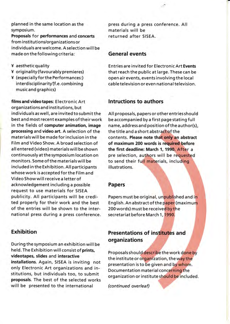planned in the same location as the symposium.

Proposals for performances and concerts from institutions/organizations or individuals arewelcome. Aselection will be made on the following criteria:

- ¥ aesthetic quality
- ¥ originality (favourably premieres)
- Y (especiallyforthe Performances:) interdisciplinarity(f.e. combining music and graphics)

films and video tapes: Electronic Art organizations and institutions, but individuals as well, are invited to submit the best and most recent examples of theirwork in the fields of computer animation, image processing and video art. A selection of the materialswill be made for inclusion in the Film and Video Show. A broad selection of all entered (video) materials will be shown continuously atthe symposium location on monitors. Some of the materials will be included in the Exhibition. AII participants whose work is accepted for the Film and Video Show will receive a letter of acknowledgement including a possible request to use materials for SISEA publicity. All participants will be credited properly for their work and the best of the entries will be shown to the international press during a press conference.

### Exhibition

During the symposium an exhibition will be held. The Exhibition will consist of prints, videotapes, slides and interactive installations. Again, SISEA is inviting not only Electronic Art organizations and institutions, but individuals too, to submit proposals. The best of the selected works will be presented to the international

press during a press conference. All materials will be returned after SISEA.

### General events

Entries are invited for Electronic Art Events that reach the public at large. These can be open air events, events involving the local cable television or even national television.

### lntructions to authors

All proposals, papers or other entries should be accompanied by a first page stating full name, address and position of the author(s), the title and a short abstract of the contents. Please note that only an abstract of maximum 200 words is re the first deadline: March 1, 1990. After a pre selection, authors will be requested to send their full materials, inclu illustrations.

### Papers

Papers must be original, unpublished and in English. An abstract of the paper (maximum 200 words) must be receive<mark>d by t</mark>he secretariat before March 1, 1990.

# Presentations of institutes and organizations

Proposals should describe the work done by the institute or organization, the way the presentation is to be given and by whom. Documentation material concerning the organization or institute should be included.

(continued overleaf)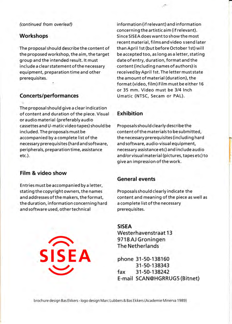the proposed workshop, the aim, the target be accepted too, as long as a letter, stating<br>group and the intended result. It must date of entry, duration, format and the include a clear statement of the necessary content (including names of authors) is equipment, preparation time and other received by April 1st. The letter must state prerequisites. the amount of material (duration), the

t The proposal should give a clear indication of content and duration of the piece. visual Exhibition or audio material (preferably audio cassettes and U-matic video tapes) should be Proposals should clearly describe the included. The proposals must be content of the materialsto be submitted, accompanied by a complete list of the the necessary prerequisites (including hard necessary prerequisites (hard and software, and software, audio-visual equipment, peripherals, preparation time, assistance necessary assistance etc) and include audio

### Film & video show

Entries must be accompanied by a letter, stating the copyright owners, the names Proposals should clearly indicate the the duration, information concerning hard a complete list of the necessary and software used, other technical prerequisites.

(continued from overleaf) information (if relevant) and information concerning the artistic aim (if relevant). Workshops **Since SISEA** does want to show the most recent material, films and video s send later The proposal should describe the content of than April 1st (but before October 1st) will date of entry, duration, format and the format (video, film) Film must be either 16 or 35 mm. Video must be 3/4 lnch Concerts/performances Umatic (NTsc, Secam or PAL).

.;"

r

etc.). and/orvisual material (pictures,tapesetc)to give an impression of the work.

### General events

and addresses of the makers, the format, content and meaning of the piece as well as

SISEA Westerhavenstraat 13 9718 AJ Groningen The Netherlands

phone 31-50-138160 31 -50-1 38343 fax 31 -50- <sup>138242</sup> E-mail SCAN@HGRRUG5 (Bitnet)

brochure design Bas Ekkers - logo design Marc Lubbers & Bas Ekkers (Academie Minerva 1989)

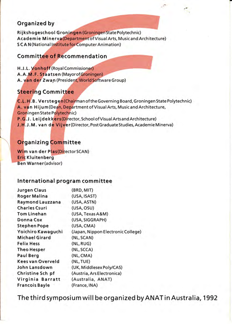# **Organized by**

Rijkshogeschool Groningen (Groningen State Polytechnic) Academie Minerva (Department of Visual Arts, Music and Architecture) **SCAN**(National Institute for Computer Animation)

# **Committee of Recommendation**

H.J.L. Vonhoff (Roval Commissioner) A.A.M.F. Staatsen (Mavorof Groningen) A. van der Zwan (President, World Software Group)

# **Steering Committee**

C.L.H.B. Verstegen (Chairman of the Governing Board, Groningen State Polytechnic) A. van Hijum (Dean, Department of Visual Arts, Music and Architecture, Groningen State Polytechnic) P.G.J. Leiidekkers (Director, School of Visual Arts and Architecture) J.H.J.M. van de Vijver (Director, Post Graduate Studies, Academie Minerva)

# **Organizing Committee**

Wim van der Plas(Director SCAN) **Eric Kluitenberg Ben Warner(advisor)** 

# International program committee

| <b>Jurgen Claus</b>   | (BRD, MIT)                         |  |
|-----------------------|------------------------------------|--|
| <b>Roger Malina</b>   | (USA, ISAST)                       |  |
| Raymond Lauzzana      | (USA, ASTN)                        |  |
| <b>Charles Csuri</b>  | (USA, OSU)                         |  |
| <b>Tom Linehan</b>    | (USA, Texas A&M)                   |  |
| <b>Donna Cox</b>      | (USA, SIGGRAPH)                    |  |
| <b>Stephen Pope</b>   | (USA, CMA)                         |  |
| Yoichiro Kawaguchi    | (Japan, Nippon Electronic College) |  |
| <b>Michael Girard</b> | (NL, SCAN)                         |  |
| <b>Felix Hess</b>     | (NL, RUG)                          |  |
| <b>Theo Hesper</b>    | (NL, SCCA)                         |  |
| <b>Paul Berg</b>      | (NL, CMA)                          |  |
| Kees van Overveld     | (NL, TUE)                          |  |
| John Lansdown         | (UK, Middlesex Poly/CAS)           |  |
| Christine Sch pf      | (Austria, Ars Electronica)         |  |
| Virginia Barratt      | (Australia, ANAT)                  |  |
| <b>Francois Bayle</b> | (France, INA)                      |  |

The third symposium will be organized by ANAT in Australia, 1992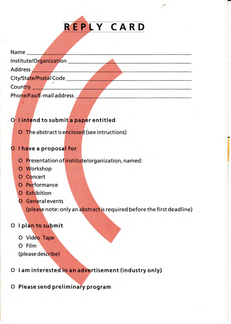

| Name<br>Institute/Organization |  |
|--------------------------------|--|
| Address                        |  |
| City/State/Postal Code         |  |
| Country                        |  |
| Phone/Fax/E-mail address       |  |

# O lintend to submit a paper entitled

O The abstract is enclosed (see intructions)

# O I have a proposal for

- O Presentation of institute/organization, named:
- O Workshop
- O Concert
- O Performance
- O Exhibition
- **O** General events

(please note: only an abstract is required before the first deadline)

# O I plan to submit

- O Video Tape
- O Film
- (please describe)
- O I am interested in an advertisement (industry only)
- O Please send preliminary program